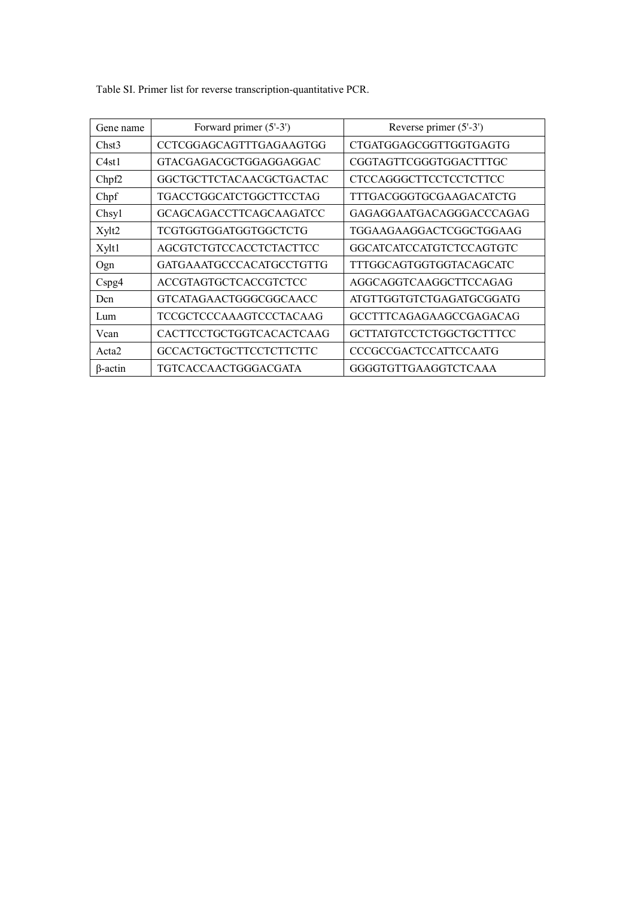| Gene name         | Forward primer (5'-3')         | Reverse primer $(5'-3')$      |  |
|-------------------|--------------------------------|-------------------------------|--|
| Chst3             | CCTCGGAGCAGTTTGAGAAGTGG        | CTGATGGAGCGGTTGGTGAGTG        |  |
| C4st1             | GTACGAGACGCTGGAGGAGGAC         | CGGTAGTTCGGGTGGACTTTGC        |  |
| Chpf2             | GGCTGCTTCTACAACGCTGACTAC       | <b>CTCCAGGGCTTCCTCCTCTTCC</b> |  |
| Chpf              | TGACCTGGCATCTGGCTTCCTAG        | TTTGACGGGTGCGAAGACATCTG       |  |
| Chsy1             | <b>GCAGCAGACCTTCAGCAAGATCC</b> | GAGAGGAATGACAGGGACCCAGAG      |  |
| Xylt2             | TCGTGGTGGATGGTGGCTCTG          | TGGAAGAAGGACTCGGCTGGAAG       |  |
| Xylt1             | AGCGTCTGTCCACCTCTACTTCC        | GGCATCATCCATGTCTCCAGTGTC      |  |
| Ogn               | GATGA A ATGCCCA CATGCCTGTTG    | TTTGGCAGTGGTGGTACAGCATC       |  |
| Cspg4             | ACCGTAGTGCTCACCGTCTCC          | AGGCAGGTCAAGGCTTCCAGAG        |  |
| Dcn               | GTCATAGAACTGGGCGGCAACC         | ATGTTGGTGTCTGAGATGCGGATG      |  |
| Lum               | TCCGCTCCCAAAGTCCCTACAAG        | GCCTTTCAGAGAAGCCGAGACAG       |  |
| Vcan              | CACTTCCTGCTGGTCACACTCAAG       | GCTTATGTCCTCTGGCTGCTTTCC      |  |
| Acta <sub>2</sub> | <b>GCCACTGCTGCTTCCTCTTCTTC</b> | <b>CCCGCCGACTCCATTCCAATG</b>  |  |
| $\beta$ -actin    | TGTCACCAACTGGGACGATA           | GGGGTGTTGAAGGTCTCAAA          |  |

Table SI. Primer list for reverse transcription-quantitative PCR.